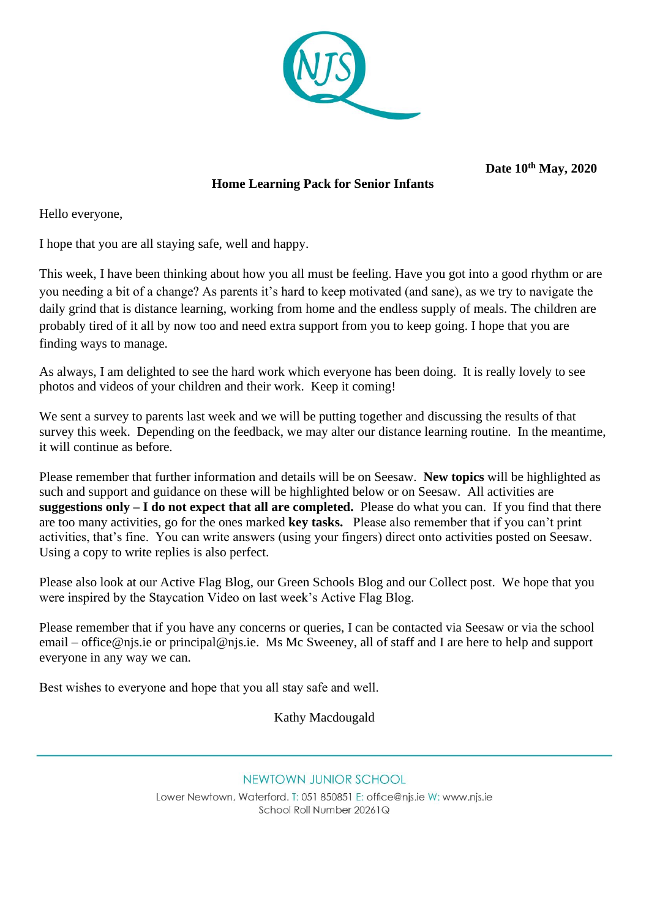

**Date 10th May, 2020** 

# **Home Learning Pack for Senior Infants**

Hello everyone,

I hope that you are all staying safe, well and happy.

This week, I have been thinking about how you all must be feeling. Have you got into a good rhythm or are you needing a bit of a change? As parents it's hard to keep motivated (and sane), as we try to navigate the daily grind that is distance learning, working from home and the endless supply of meals. The children are probably tired of it all by now too and need extra support from you to keep going. I hope that you are finding ways to manage.

As always, I am delighted to see the hard work which everyone has been doing. It is really lovely to see photos and videos of your children and their work. Keep it coming!

We sent a survey to parents last week and we will be putting together and discussing the results of that survey this week. Depending on the feedback, we may alter our distance learning routine. In the meantime, it will continue as before.

Please remember that further information and details will be on Seesaw. **New topics** will be highlighted as such and support and guidance on these will be highlighted below or on Seesaw. All activities are **suggestions only – I do not expect that all are completed.** Please do what you can. If you find that there are too many activities, go for the ones marked **key tasks.** Please also remember that if you can't print activities, that's fine. You can write answers (using your fingers) direct onto activities posted on Seesaw. Using a copy to write replies is also perfect.

Please also look at our Active Flag Blog, our Green Schools Blog and our Collect post. We hope that you were inspired by the Staycation Video on last week's Active Flag Blog.

Please remember that if you have any concerns or queries, I can be contacted via Seesaw or via the school email – [office@njs.ie](mailto:office@njs.ie) or [principal@njs.ie.](mailto:principal@njs.ie) Ms Mc Sweeney, all of staff and I are here to help and support everyone in any way we can.

Best wishes to everyone and hope that you all stay safe and well.  

Kathy Macdougald

NEWTOWN JUNIOR SCHOOL

Lower Newtown, Waterford, T: 051 850851 E: office@nis.ie W: www.nis.ie School Roll Number 20261Q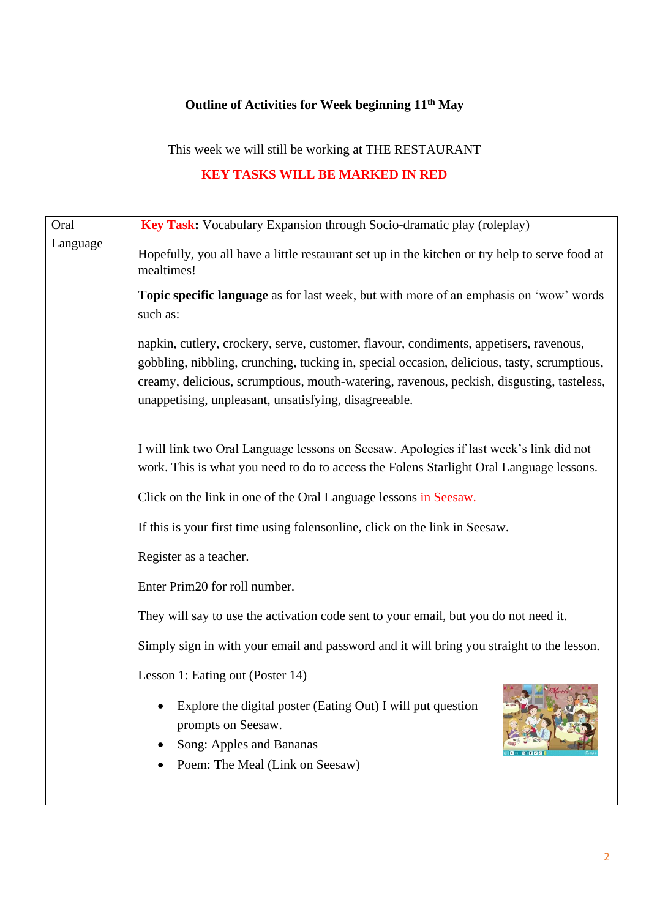# **Outline of Activities for Week beginning 11th May**

This week we will still be working at THE RESTAURANT

# **KEY TASKS WILL BE MARKED IN RED**

| Oral     | <b>Key Task:</b> Vocabulary Expansion through Socio-dramatic play (roleplay)                                                                                                                                                                                                                                                                |  |  |  |  |  |  |
|----------|---------------------------------------------------------------------------------------------------------------------------------------------------------------------------------------------------------------------------------------------------------------------------------------------------------------------------------------------|--|--|--|--|--|--|
| Language | Hopefully, you all have a little restaurant set up in the kitchen or try help to serve food at<br>mealtimes!                                                                                                                                                                                                                                |  |  |  |  |  |  |
|          | Topic specific language as for last week, but with more of an emphasis on 'wow' words<br>such as:                                                                                                                                                                                                                                           |  |  |  |  |  |  |
|          | napkin, cutlery, crockery, serve, customer, flavour, condiments, appetisers, ravenous,<br>gobbling, nibbling, crunching, tucking in, special occasion, delicious, tasty, scrumptious,<br>creamy, delicious, scrumptious, mouth-watering, ravenous, peckish, disgusting, tasteless,<br>unappetising, unpleasant, unsatisfying, disagreeable. |  |  |  |  |  |  |
|          | I will link two Oral Language lessons on Seesaw. Apologies if last week's link did not<br>work. This is what you need to do to access the Folens Starlight Oral Language lessons.                                                                                                                                                           |  |  |  |  |  |  |
|          | Click on the link in one of the Oral Language lessons in Seesaw.                                                                                                                                                                                                                                                                            |  |  |  |  |  |  |
|          | If this is your first time using folensonline, click on the link in Seesaw.                                                                                                                                                                                                                                                                 |  |  |  |  |  |  |
|          | Register as a teacher.                                                                                                                                                                                                                                                                                                                      |  |  |  |  |  |  |
|          | Enter Prim20 for roll number.                                                                                                                                                                                                                                                                                                               |  |  |  |  |  |  |
|          | They will say to use the activation code sent to your email, but you do not need it.                                                                                                                                                                                                                                                        |  |  |  |  |  |  |
|          | Simply sign in with your email and password and it will bring you straight to the lesson.                                                                                                                                                                                                                                                   |  |  |  |  |  |  |
|          | Lesson 1: Eating out (Poster 14)                                                                                                                                                                                                                                                                                                            |  |  |  |  |  |  |
|          | • Explore the digital poster (Eating Out) I will put question<br>prompts on Seesaw.                                                                                                                                                                                                                                                         |  |  |  |  |  |  |
|          | Song: Apples and Bananas<br>Poem: The Meal (Link on Seesaw)                                                                                                                                                                                                                                                                                 |  |  |  |  |  |  |
|          |                                                                                                                                                                                                                                                                                                                                             |  |  |  |  |  |  |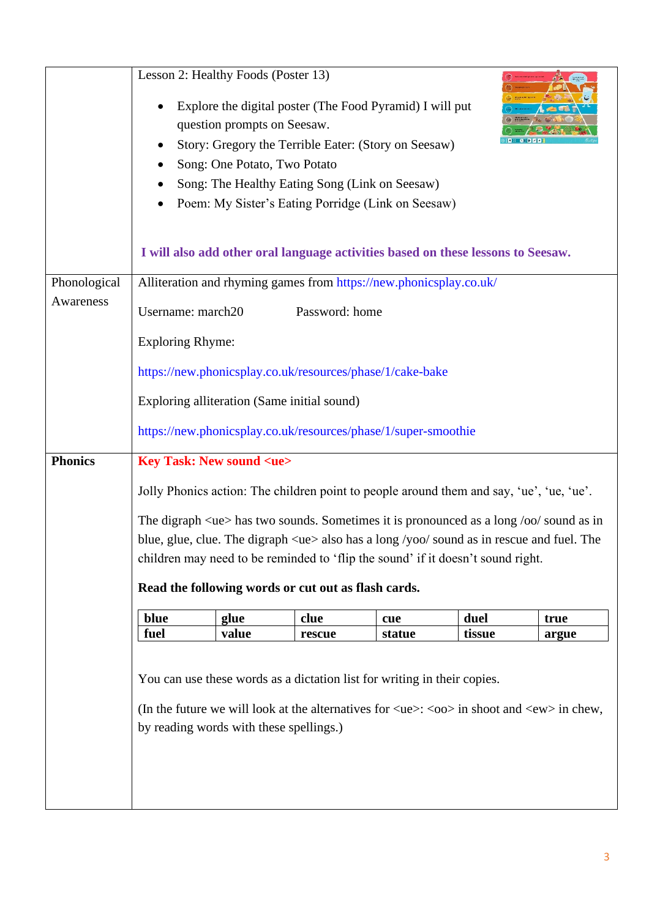|                | Lesson 2: Healthy Foods (Poster 13)                                                                                                                                                                                                                               | question prompts on Seesaw.<br>Song: One Potato, Two Potato |                                             | Explore the digital poster (The Food Pyramid) I will put<br>Story: Gregory the Terrible Eater: (Story on Seesaw)<br>Song: The Healthy Eating Song (Link on Seesaw)<br>Poem: My Sister's Eating Porridge (Link on Seesaw) |        |       |  |
|----------------|-------------------------------------------------------------------------------------------------------------------------------------------------------------------------------------------------------------------------------------------------------------------|-------------------------------------------------------------|---------------------------------------------|--------------------------------------------------------------------------------------------------------------------------------------------------------------------------------------------------------------------------|--------|-------|--|
|                | I will also add other oral language activities based on these lessons to Seesaw.                                                                                                                                                                                  |                                                             |                                             |                                                                                                                                                                                                                          |        |       |  |
| Phonological   |                                                                                                                                                                                                                                                                   |                                                             |                                             | Alliteration and rhyming games from https://new.phonicsplay.co.uk/                                                                                                                                                       |        |       |  |
| Awareness      | Username: march20                                                                                                                                                                                                                                                 |                                                             | Password: home                              |                                                                                                                                                                                                                          |        |       |  |
|                |                                                                                                                                                                                                                                                                   |                                                             |                                             |                                                                                                                                                                                                                          |        |       |  |
|                | <b>Exploring Rhyme:</b>                                                                                                                                                                                                                                           |                                                             |                                             |                                                                                                                                                                                                                          |        |       |  |
|                |                                                                                                                                                                                                                                                                   |                                                             |                                             | https://new.phonicsplay.co.uk/resources/phase/1/cake-bake                                                                                                                                                                |        |       |  |
|                |                                                                                                                                                                                                                                                                   |                                                             | Exploring alliteration (Same initial sound) |                                                                                                                                                                                                                          |        |       |  |
|                |                                                                                                                                                                                                                                                                   |                                                             |                                             |                                                                                                                                                                                                                          |        |       |  |
|                | https://new.phonicsplay.co.uk/resources/phase/1/super-smoothie                                                                                                                                                                                                    |                                                             |                                             |                                                                                                                                                                                                                          |        |       |  |
| <b>Phonics</b> | <b>Key Task: New sound <ue></ue></b>                                                                                                                                                                                                                              |                                                             |                                             |                                                                                                                                                                                                                          |        |       |  |
|                | Jolly Phonics action: The children point to people around them and say, 'ue', 'ue, 'ue'.                                                                                                                                                                          |                                                             |                                             |                                                                                                                                                                                                                          |        |       |  |
|                |                                                                                                                                                                                                                                                                   |                                                             |                                             |                                                                                                                                                                                                                          |        |       |  |
|                | The digraph <ue> has two sounds. Sometimes it is pronounced as a long /oo/ sound as in<br/>blue, glue, clue. The digraph <math>\langle ue \rangle</math> also has a long /yoo/ sound as in rescue and fuel. The</ue>                                              |                                                             |                                             |                                                                                                                                                                                                                          |        |       |  |
|                | children may need to be reminded to 'flip the sound' if it doesn't sound right.                                                                                                                                                                                   |                                                             |                                             |                                                                                                                                                                                                                          |        |       |  |
|                | Read the following words or cut out as flash cards.                                                                                                                                                                                                               |                                                             |                                             |                                                                                                                                                                                                                          |        |       |  |
|                |                                                                                                                                                                                                                                                                   |                                                             |                                             |                                                                                                                                                                                                                          |        |       |  |
|                | blue                                                                                                                                                                                                                                                              | glue                                                        | clue                                        | cue                                                                                                                                                                                                                      | duel   | true  |  |
|                | fuel                                                                                                                                                                                                                                                              | value                                                       | rescue                                      | statue                                                                                                                                                                                                                   | tissue | argue |  |
|                | You can use these words as a dictation list for writing in their copies.<br>(In the future we will look at the alternatives for $\langle ue \rangle$ : $\langle oo \rangle$ in shoot and $\langle ew \rangle$ in chew,<br>by reading words with these spellings.) |                                                             |                                             |                                                                                                                                                                                                                          |        |       |  |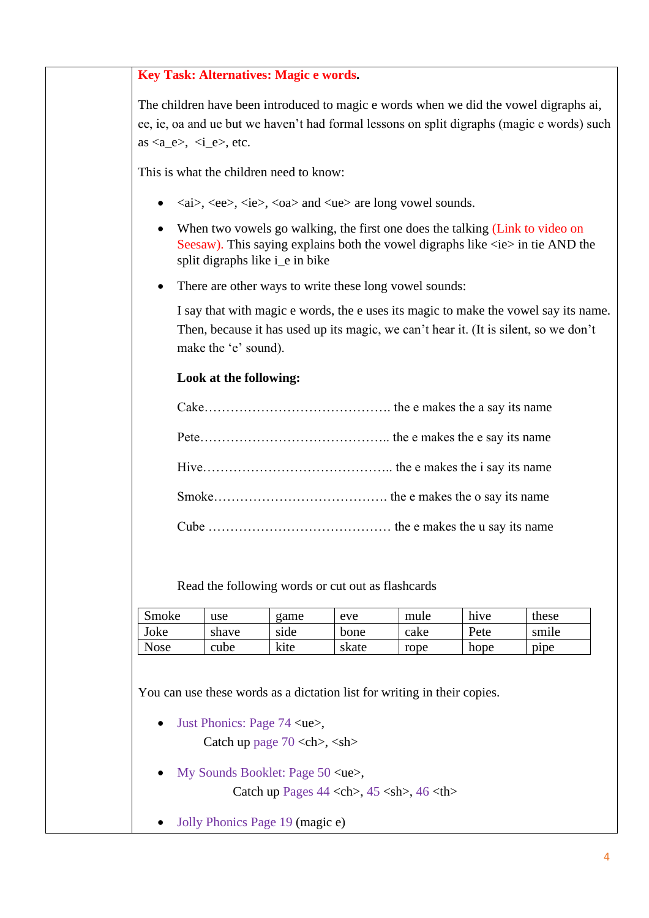#### **Key Task: Alternatives: Magic e words.**

The children have been introduced to magic e words when we did the vowel digraphs ai, ee, ie, oa and ue but we haven't had formal lessons on split digraphs (magic e words) such as  $\langle a_e \rangle$ ,  $\langle i_e \rangle$ , etc.

This is what the children need to know:

- $\langle ai \rangle$ ,  $\langle ee \rangle$ ,  $\langle ie \rangle$ ,  $\langle oa \rangle$  and  $\langle ue \rangle$  are long vowel sounds.
- When two vowels go walking, the first one does the talking (Link to video on Seesaw). This saying explains both the vowel digraphs like  $\langle ie \rangle$  in tie AND the split digraphs like i\_e in bike
- There are other ways to write these long vowel sounds:

I say that with magic e words, the e uses its magic to make the vowel say its name. Then, because it has used up its magic, we can't hear it. (It is silent, so we don't make the 'e' sound).

#### **Look at the following:**

Read the following words or cut out as flashcards

| Smoke       | use                                       | game                                 | eve   | mule                                                                     | hive | these |
|-------------|-------------------------------------------|--------------------------------------|-------|--------------------------------------------------------------------------|------|-------|
| Joke        | shave                                     | side                                 | bone  | cake                                                                     | Pete | smile |
| <b>Nose</b> | cube                                      | kite                                 | skate | rope                                                                     | hope | pipe  |
|             |                                           |                                      |       | You can use these words as a dictation list for writing in their copies. |      |       |
|             | • Just Phonics: Page $74 \text{ ue},$     |                                      |       |                                                                          |      |       |
|             |                                           | Catch up page $70 \text{ }, \text{}$ |       |                                                                          |      |       |
|             | • My Sounds Booklet: Page $50$ <ue>,</ue> |                                      |       |                                                                          |      |       |
|             |                                           |                                      |       | Catch up Pages $44 \lt ch$ , $45 \lt sh$ , $46 \lt th$                   |      |       |
| $\bullet$   | Jolly Phonics Page 19 (magic e)           |                                      |       |                                                                          |      |       |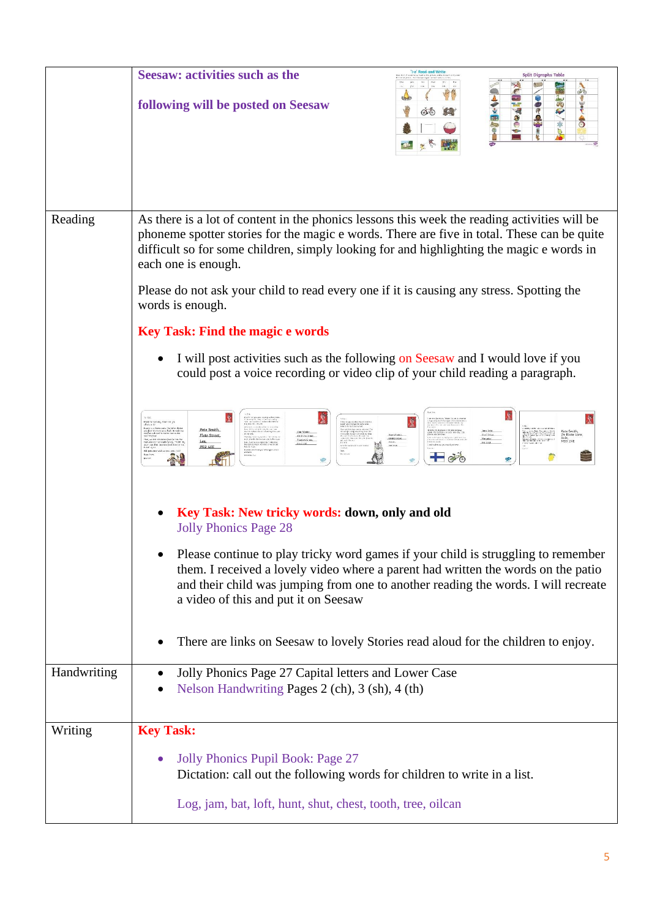|             | <b>Seesaw: activities such as the</b><br><b>Split Digraphs Table</b><br>following will be posted on Seesaw                                                                                                                                                                                                                                                                                                                    |
|-------------|-------------------------------------------------------------------------------------------------------------------------------------------------------------------------------------------------------------------------------------------------------------------------------------------------------------------------------------------------------------------------------------------------------------------------------|
| Reading     | As there is a lot of content in the phonics lessons this week the reading activities will be<br>phoneme spotter stories for the magic e words. There are five in total. These can be quite<br>difficult so for some children, simply looking for and highlighting the magic e words in<br>each one is enough.<br>Please do not ask your child to read every one if it is causing any stress. Spotting the<br>words is enough. |
|             | <b>Key Task: Find the magic e words</b>                                                                                                                                                                                                                                                                                                                                                                                       |
|             | I will post activities such as the following on Seesaw and I would love if you<br>could post a voice recording or video clip of your child reading a paragraph.                                                                                                                                                                                                                                                               |
|             | Pete Smith,<br>Flete Street,<br>Tagest Costs<br>Lea.<br>PR2 4EE                                                                                                                                                                                                                                                                                                                                                               |
|             | Key Task: New tricky words: down, only and old<br><b>Jolly Phonics Page 28</b>                                                                                                                                                                                                                                                                                                                                                |
|             | Please continue to play tricky word games if your child is struggling to remember<br>them. I received a lovely video where a parent had written the words on the patio<br>and their child was jumping from one to another reading the words. I will recreate<br>a video of this and put it on Seesaw                                                                                                                          |
|             | There are links on Seesaw to lovely Stories read aloud for the children to enjoy.                                                                                                                                                                                                                                                                                                                                             |
| Handwriting | Jolly Phonics Page 27 Capital letters and Lower Case<br>Nelson Handwriting Pages 2 (ch), 3 (sh), 4 (th)                                                                                                                                                                                                                                                                                                                       |
| Writing     | <b>Key Task:</b>                                                                                                                                                                                                                                                                                                                                                                                                              |
|             | Jolly Phonics Pupil Book: Page 27<br>Dictation: call out the following words for children to write in a list.<br>Log, jam, bat, loft, hunt, shut, chest, tooth, tree, oilcan                                                                                                                                                                                                                                                  |
|             |                                                                                                                                                                                                                                                                                                                                                                                                                               |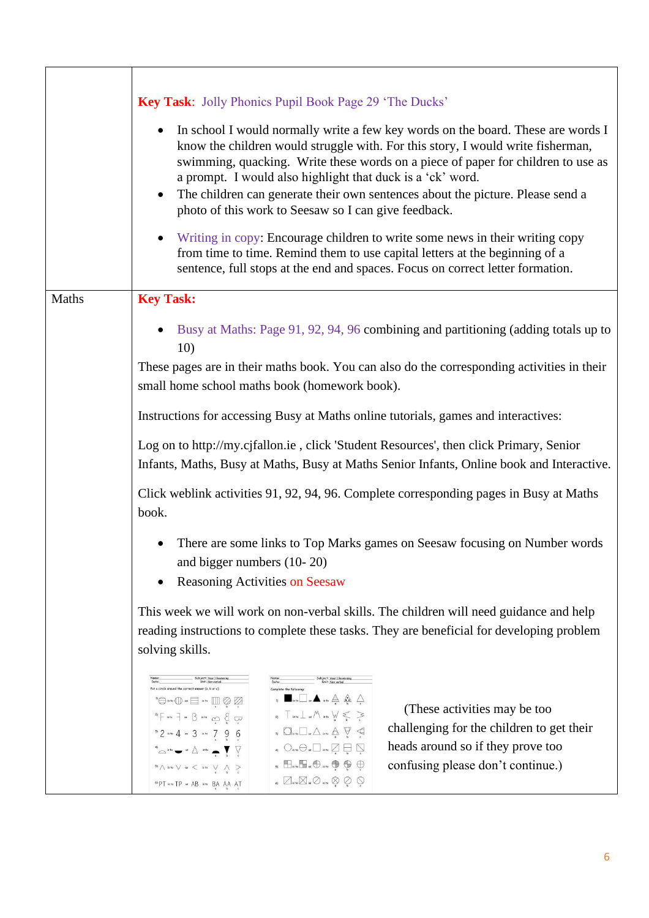|       | Key Task: Jolly Phonics Pupil Book Page 29 'The Ducks'                                                                                                                                                                                                                                                                                                                                                                                                                                                                                                                                                                                                                                                                                                                                                                                                                                                                                                                                                                                                                                                                                                                                                                                                                                                                                                                                                                                                                                                                                                                                                                                                                                                                                                                                                                                                                                                                                                                                                                                                                                                                                                                                                                                                                                                                                                                                                                                                                                                                                                                                                                                                                                                                                                                  |  |  |  |  |
|-------|-------------------------------------------------------------------------------------------------------------------------------------------------------------------------------------------------------------------------------------------------------------------------------------------------------------------------------------------------------------------------------------------------------------------------------------------------------------------------------------------------------------------------------------------------------------------------------------------------------------------------------------------------------------------------------------------------------------------------------------------------------------------------------------------------------------------------------------------------------------------------------------------------------------------------------------------------------------------------------------------------------------------------------------------------------------------------------------------------------------------------------------------------------------------------------------------------------------------------------------------------------------------------------------------------------------------------------------------------------------------------------------------------------------------------------------------------------------------------------------------------------------------------------------------------------------------------------------------------------------------------------------------------------------------------------------------------------------------------------------------------------------------------------------------------------------------------------------------------------------------------------------------------------------------------------------------------------------------------------------------------------------------------------------------------------------------------------------------------------------------------------------------------------------------------------------------------------------------------------------------------------------------------------------------------------------------------------------------------------------------------------------------------------------------------------------------------------------------------------------------------------------------------------------------------------------------------------------------------------------------------------------------------------------------------------------------------------------------------------------------------------------------------|--|--|--|--|
|       | In school I would normally write a few key words on the board. These are words I<br>know the children would struggle with. For this story, I would write fisherman,<br>swimming, quacking. Write these words on a piece of paper for children to use as<br>a prompt. I would also highlight that duck is a 'ck' word.<br>The children can generate their own sentences about the picture. Please send a<br>photo of this work to Seesaw so I can give feedback.                                                                                                                                                                                                                                                                                                                                                                                                                                                                                                                                                                                                                                                                                                                                                                                                                                                                                                                                                                                                                                                                                                                                                                                                                                                                                                                                                                                                                                                                                                                                                                                                                                                                                                                                                                                                                                                                                                                                                                                                                                                                                                                                                                                                                                                                                                         |  |  |  |  |
|       | Writing in copy: Encourage children to write some news in their writing copy<br>from time to time. Remind them to use capital letters at the beginning of a<br>sentence, full stops at the end and spaces. Focus on correct letter formation.                                                                                                                                                                                                                                                                                                                                                                                                                                                                                                                                                                                                                                                                                                                                                                                                                                                                                                                                                                                                                                                                                                                                                                                                                                                                                                                                                                                                                                                                                                                                                                                                                                                                                                                                                                                                                                                                                                                                                                                                                                                                                                                                                                                                                                                                                                                                                                                                                                                                                                                           |  |  |  |  |
| Maths | <b>Key Task:</b>                                                                                                                                                                                                                                                                                                                                                                                                                                                                                                                                                                                                                                                                                                                                                                                                                                                                                                                                                                                                                                                                                                                                                                                                                                                                                                                                                                                                                                                                                                                                                                                                                                                                                                                                                                                                                                                                                                                                                                                                                                                                                                                                                                                                                                                                                                                                                                                                                                                                                                                                                                                                                                                                                                                                                        |  |  |  |  |
|       | Busy at Maths: Page 91, 92, 94, 96 combining and partitioning (adding totals up to<br>10)                                                                                                                                                                                                                                                                                                                                                                                                                                                                                                                                                                                                                                                                                                                                                                                                                                                                                                                                                                                                                                                                                                                                                                                                                                                                                                                                                                                                                                                                                                                                                                                                                                                                                                                                                                                                                                                                                                                                                                                                                                                                                                                                                                                                                                                                                                                                                                                                                                                                                                                                                                                                                                                                               |  |  |  |  |
|       | These pages are in their maths book. You can also do the corresponding activities in their<br>small home school maths book (homework book).                                                                                                                                                                                                                                                                                                                                                                                                                                                                                                                                                                                                                                                                                                                                                                                                                                                                                                                                                                                                                                                                                                                                                                                                                                                                                                                                                                                                                                                                                                                                                                                                                                                                                                                                                                                                                                                                                                                                                                                                                                                                                                                                                                                                                                                                                                                                                                                                                                                                                                                                                                                                                             |  |  |  |  |
|       | Instructions for accessing Busy at Maths online tutorials, games and interactives:                                                                                                                                                                                                                                                                                                                                                                                                                                                                                                                                                                                                                                                                                                                                                                                                                                                                                                                                                                                                                                                                                                                                                                                                                                                                                                                                                                                                                                                                                                                                                                                                                                                                                                                                                                                                                                                                                                                                                                                                                                                                                                                                                                                                                                                                                                                                                                                                                                                                                                                                                                                                                                                                                      |  |  |  |  |
|       | Log on to http://my.cjfallon.ie, click 'Student Resources', then click Primary, Senior<br>Infants, Maths, Busy at Maths, Busy at Maths Senior Infants, Online book and Interactive.                                                                                                                                                                                                                                                                                                                                                                                                                                                                                                                                                                                                                                                                                                                                                                                                                                                                                                                                                                                                                                                                                                                                                                                                                                                                                                                                                                                                                                                                                                                                                                                                                                                                                                                                                                                                                                                                                                                                                                                                                                                                                                                                                                                                                                                                                                                                                                                                                                                                                                                                                                                     |  |  |  |  |
|       | Click weblink activities 91, 92, 94, 96. Complete corresponding pages in Busy at Maths<br>book.                                                                                                                                                                                                                                                                                                                                                                                                                                                                                                                                                                                                                                                                                                                                                                                                                                                                                                                                                                                                                                                                                                                                                                                                                                                                                                                                                                                                                                                                                                                                                                                                                                                                                                                                                                                                                                                                                                                                                                                                                                                                                                                                                                                                                                                                                                                                                                                                                                                                                                                                                                                                                                                                         |  |  |  |  |
|       | There are some links to Top Marks games on Seesaw focusing on Number words<br>and bigger numbers (10-20)<br><b>Reasoning Activities on Seesaw</b>                                                                                                                                                                                                                                                                                                                                                                                                                                                                                                                                                                                                                                                                                                                                                                                                                                                                                                                                                                                                                                                                                                                                                                                                                                                                                                                                                                                                                                                                                                                                                                                                                                                                                                                                                                                                                                                                                                                                                                                                                                                                                                                                                                                                                                                                                                                                                                                                                                                                                                                                                                                                                       |  |  |  |  |
|       | This week we will work on non-verbal skills. The children will need guidance and help<br>reading instructions to complete these tasks. They are beneficial for developing problem<br>solving skills.                                                                                                                                                                                                                                                                                                                                                                                                                                                                                                                                                                                                                                                                                                                                                                                                                                                                                                                                                                                                                                                                                                                                                                                                                                                                                                                                                                                                                                                                                                                                                                                                                                                                                                                                                                                                                                                                                                                                                                                                                                                                                                                                                                                                                                                                                                                                                                                                                                                                                                                                                                    |  |  |  |  |
|       | Subject: Year 1 Reasoning<br>Unit: Non verbal<br>Put a circle around the correct answer (a, b or c)<br>Complete the following<br>$\mathbf{u}$ $\blacksquare$ is to $\blacksquare$ as $\blacktriangle$ is to $\bigtriangleup$ $\bigtriangleup$ $\bigtriangleup$ $\bigtriangleup$<br>$\begin{picture}(150,10) \put(0,0){\line(1,0){10}} \put(15,0){\line(1,0){10}} \put(15,0){\line(1,0){10}} \put(15,0){\line(1,0){10}} \put(15,0){\line(1,0){10}} \put(15,0){\line(1,0){10}} \put(15,0){\line(1,0){10}} \put(15,0){\line(1,0){10}} \put(15,0){\line(1,0){10}} \put(15,0){\line(1,0){10}} \put(15,0){\line(1,0){10}} \put(15,0){\line($<br>(These activities may be too)<br>$\sum_{\alpha}$ T is to $\perp$ as $M$ is to $\bigvee$ $\leq$ $\geq$<br>$2) \leftarrow \text{str} \rightarrow \text{str} \rightarrow \text{str} \rightarrow \text{str} \rightarrow \text{str} \rightarrow \text{str} \rightarrow \text{str} \rightarrow \text{str} \rightarrow \text{str} \rightarrow \text{str} \rightarrow \text{str} \rightarrow \text{str} \rightarrow \text{str} \rightarrow \text{str} \rightarrow \text{str} \rightarrow \text{str} \rightarrow \text{str} \rightarrow \text{str} \rightarrow \text{str} \rightarrow \text{str} \rightarrow \text{str} \rightarrow \text{str} \rightarrow \text{str} \rightarrow \text{str} \rightarrow \text{str} \rightarrow \text{str} \rightarrow \text{str} \rightarrow \text{str} \rightarrow \text{str} \rightarrow \text{str} \rightarrow \text{str}$<br>challenging for the children to get their<br>$\begin{picture}(160,175) \put(0,0){\line(1,0){100}} \put(15,0){\line(1,0){100}} \put(15,0){\line(1,0){100}} \put(15,0){\line(1,0){100}} \put(15,0){\line(1,0){100}} \put(15,0){\line(1,0){100}} \put(15,0){\line(1,0){100}} \put(15,0){\line(1,0){100}} \put(15,0){\line(1,0){100}} \put(15,0){\line(1,0){100}} \put(15,0){\line(1,0){100$<br>$32$ are 4 $\approx$ 3 km 7 9 6<br>heads around so if they prove too<br>4) $\bigcirc$ is to $\ominus$ as $\Box$ is to $\bigcirc$ and $\bigcirc$ as $\bigcirc$<br>$\circledcirc \circ \circ \bullet \bullet \wedge \circ \bullet \bullet \bullet \bullet \bullet \bullet$<br>$\begin{picture}(20,20) \put(0,0){\line(1,0){10}} \put(15,0){\line(1,0){10}} \put(15,0){\line(1,0){10}} \put(15,0){\line(1,0){10}} \put(15,0){\line(1,0){10}} \put(15,0){\line(1,0){10}} \put(15,0){\line(1,0){10}} \put(15,0){\line(1,0){10}} \put(15,0){\line(1,0){10}} \put(15,0){\line(1,0){10}} \put(15,0){\line(1,0){10}} \put(15,0){\line(1$<br>confusing please don't continue.)<br>$\sqrt[n]{\wedge}$ is to $\sqrt[n]{\ }$ as $\sqrt[n]{\ }$ is to $\sqrt[n]{\ }$<br>6) $\Box$ is to $\Box$ as $\oslash$ is to $\oslash$ $\oslash$ $\oslash$<br>6) PT is to TP as AB is to BA AA AT |  |  |  |  |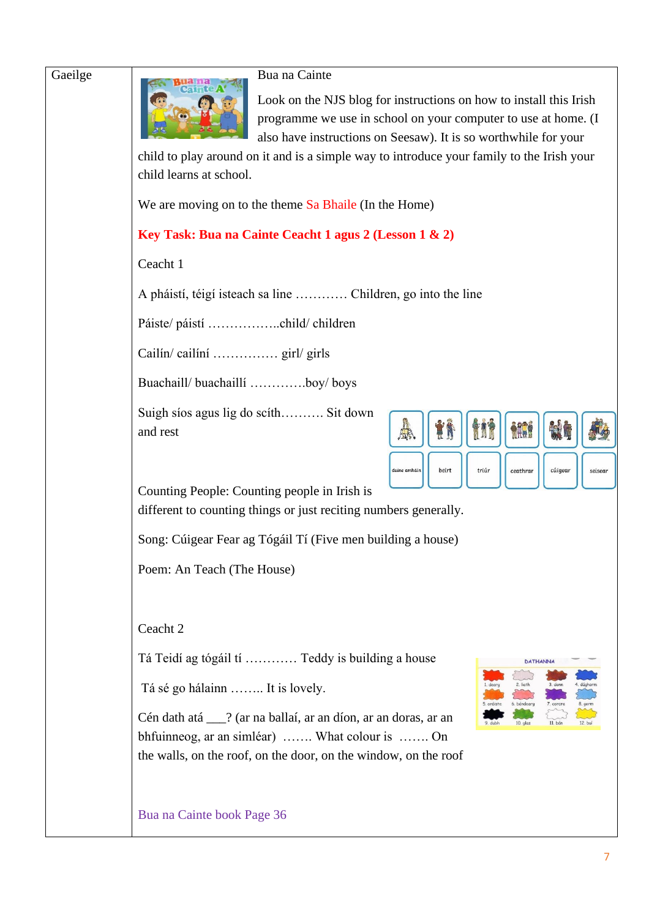Gaeilge Bua na Cainte

Look on the NJS blog for instructions on how to install this Irish programme we use in school on your computer to use at home. (I also have instructions on Seesaw). It is so worthwhile for your

child to play around on it and is a simple way to introduce your family to the Irish your child learns at school.

We are moving on to the theme Sa Bhaile (In the Home)

### **Key Task: Bua na Cainte Ceacht 1 agus 2 (Lesson 1 & 2)**

Ceacht 1

A pháistí, téigí isteach sa line ………… Children, go into the line

Páiste/ páistí ……………..child/ children

Cailín/ cailíní …………… girl/ girls

Buachaill/ buachaillí ………….boy/ boys

Suigh síos agus lig do scíth………. Sit down and rest



Counting People: Counting people in Irish is

different to counting things or just reciting numbers generally.

Song: Cúigear Fear ag Tógáil Tí (Five men building a house)

Poem: An Teach (The House)

Ceacht 2

Tá Teidí ag tógáil tí ………… Teddy is building a house

Tá sé go hálainn …….. It is lovely.

Cén dath atá \_\_\_? (ar na ballaí, ar an díon, ar an doras, ar an bhfuinneog, ar an simléar) ……. What colour is ……. On the walls, on the roof, on the door, on the window, on the roof



Bua na Cainte book Page 36